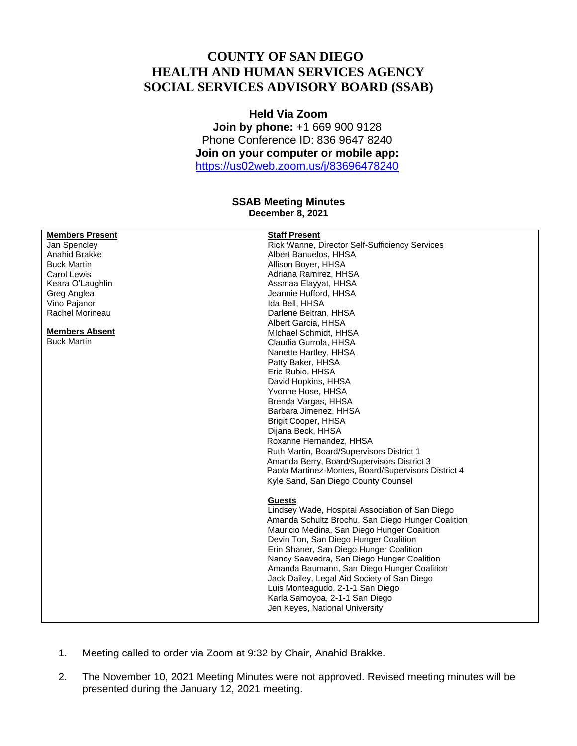## **COUNTY OF SAN DIEGO HEALTH AND HUMAN SERVICES AGENCY SOCIAL SERVICES ADVISORY BOARD (SSAB)**

## **Held Via Zoom Join by phone:** +1 669 900 9128 Phone Conference ID: 836 9647 8240 **Join on your computer or mobile app:** <https://us02web.zoom.us/j/83696478240>

## **SSAB Meeting Minutes December 8, 2021**

| <b>Members Present</b> | <b>Staff Present</b>                                |
|------------------------|-----------------------------------------------------|
| Jan Spencley           | Rick Wanne, Director Self-Sufficiency Services      |
| Anahid Brakke          | Albert Banuelos, HHSA                               |
| <b>Buck Martin</b>     | Allison Boyer, HHSA                                 |
| Carol Lewis            | Adriana Ramirez, HHSA                               |
| Keara O'Laughlin       | Assmaa Elayyat, HHSA                                |
| Greg Anglea            | Jeannie Hufford, HHSA                               |
| Vino Pajanor           | Ida Bell, HHSA                                      |
| Rachel Morineau        | Darlene Beltran, HHSA                               |
|                        | Albert Garcia, HHSA                                 |
| <b>Members Absent</b>  | Michael Schmidt, HHSA                               |
| <b>Buck Martin</b>     | Claudia Gurrola, HHSA                               |
|                        | Nanette Hartley, HHSA                               |
|                        | Patty Baker, HHSA                                   |
|                        | Eric Rubio, HHSA                                    |
|                        | David Hopkins, HHSA                                 |
|                        | Yvonne Hose, HHSA                                   |
|                        | Brenda Vargas, HHSA                                 |
|                        | Barbara Jimenez, HHSA                               |
|                        | Brigit Cooper, HHSA                                 |
|                        | Dijana Beck, HHSA                                   |
|                        | Roxanne Hernandez, HHSA                             |
|                        | Ruth Martin, Board/Supervisors District 1           |
|                        | Amanda Berry, Board/Supervisors District 3          |
|                        | Paola Martinez-Montes, Board/Supervisors District 4 |
|                        | Kyle Sand, San Diego County Counsel                 |
|                        |                                                     |
|                        | <b>Guests</b>                                       |
|                        | Lindsey Wade, Hospital Association of San Diego     |
|                        | Amanda Schultz Brochu, San Diego Hunger Coalition   |
|                        | Mauricio Medina, San Diego Hunger Coalition         |
|                        | Devin Ton, San Diego Hunger Coalition               |
|                        | Erin Shaner, San Diego Hunger Coalition             |
|                        | Nancy Saavedra, San Diego Hunger Coalition          |
|                        | Amanda Baumann, San Diego Hunger Coalition          |
|                        | Jack Dailey, Legal Aid Society of San Diego         |
|                        | Luis Monteagudo, 2-1-1 San Diego                    |
|                        | Karla Samoyoa, 2-1-1 San Diego                      |
|                        | Jen Keyes, National University                      |
|                        |                                                     |

- 1. Meeting called to order via Zoom at 9:32 by Chair, Anahid Brakke.
- 2. The November 10, 2021 Meeting Minutes were not approved. Revised meeting minutes will be presented during the January 12, 2021 meeting.